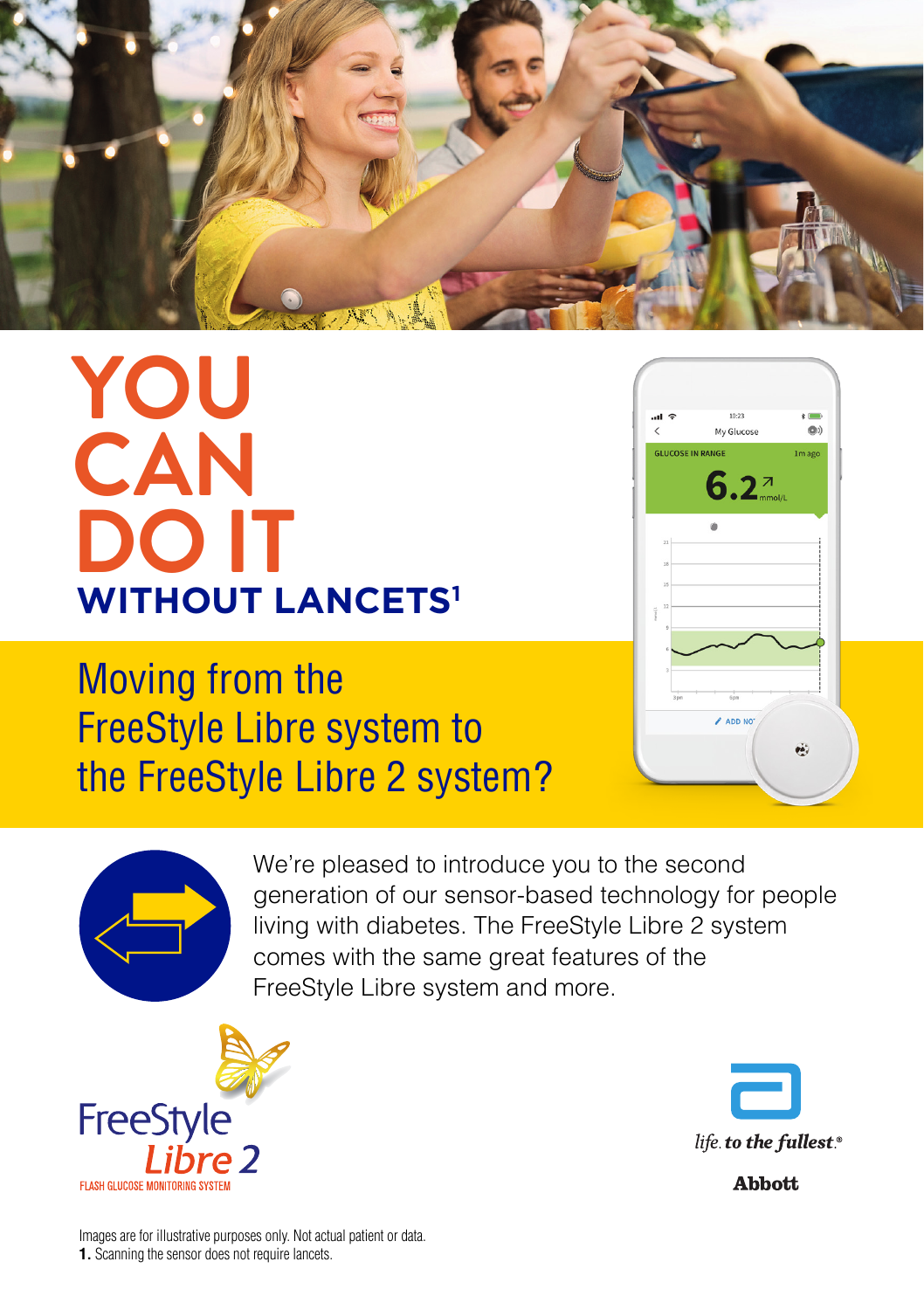

# **YOU CAN DO IT WITHOUT LANCETS1**

## Moving from the FreeStyle Libre system to the FreeStyle Libre 2 system?



We're pleased to introduce you to the second generation of our sensor-based technology for people living with diabetes. The FreeStyle Libre 2 system comes with the same great features of the FreeStyle Libre system and more.

 $\overline{\phantom{a}}$ 

**GLUCOSE IN RANGE** 

My Glucose

 $6.2^{\pi}$ 

ADD NO

CO<sup>2</sup>

1<sub>m</sub> ago

Ġ,





**Abbott** 

Images are for illustrative purposes only. Not actual patient or data. **1.** Scanning the sensor does not require lancets.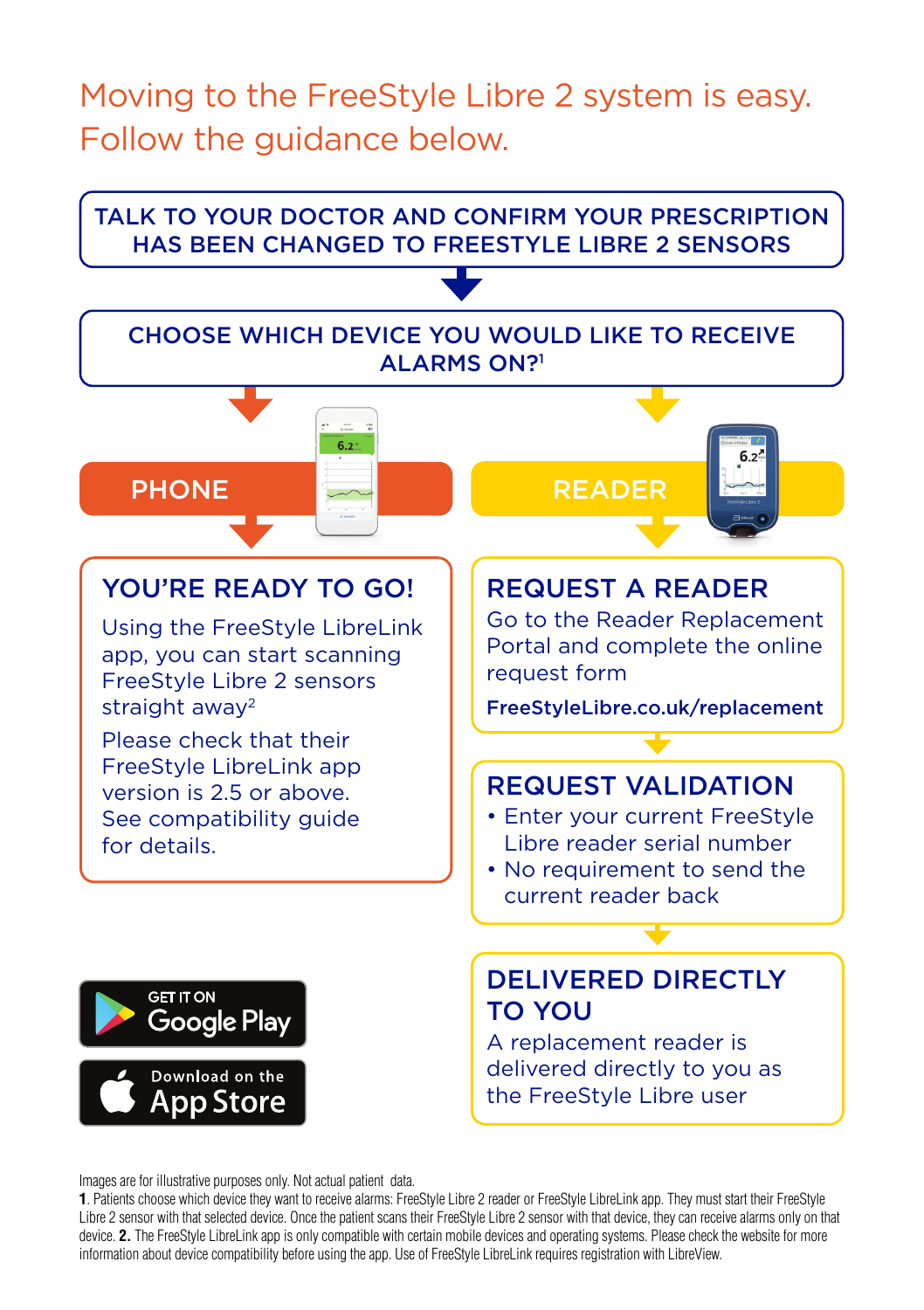## Moving to the FreeStyle Libre 2 system is easy. Follow the guidance below.



Images are for illustrative purposes only. Not actual patient data.

**1**. Patients choose which device they want to receive alarms: FreeStyle Libre 2 reader or FreeStyle LibreLink app. They must start their FreeStyle Libre 2 sensor with that selected device. Once the patient scans their FreeStyle Libre 2 sensor with that device, they can receive alarms only on that device. **2.** The FreeStyle LibreLink app is only compatible with certain mobile devices and operating systems. Please check the website for more information about device compatibility before using the app. Use of FreeStyle LibreLink requires registration with LibreView.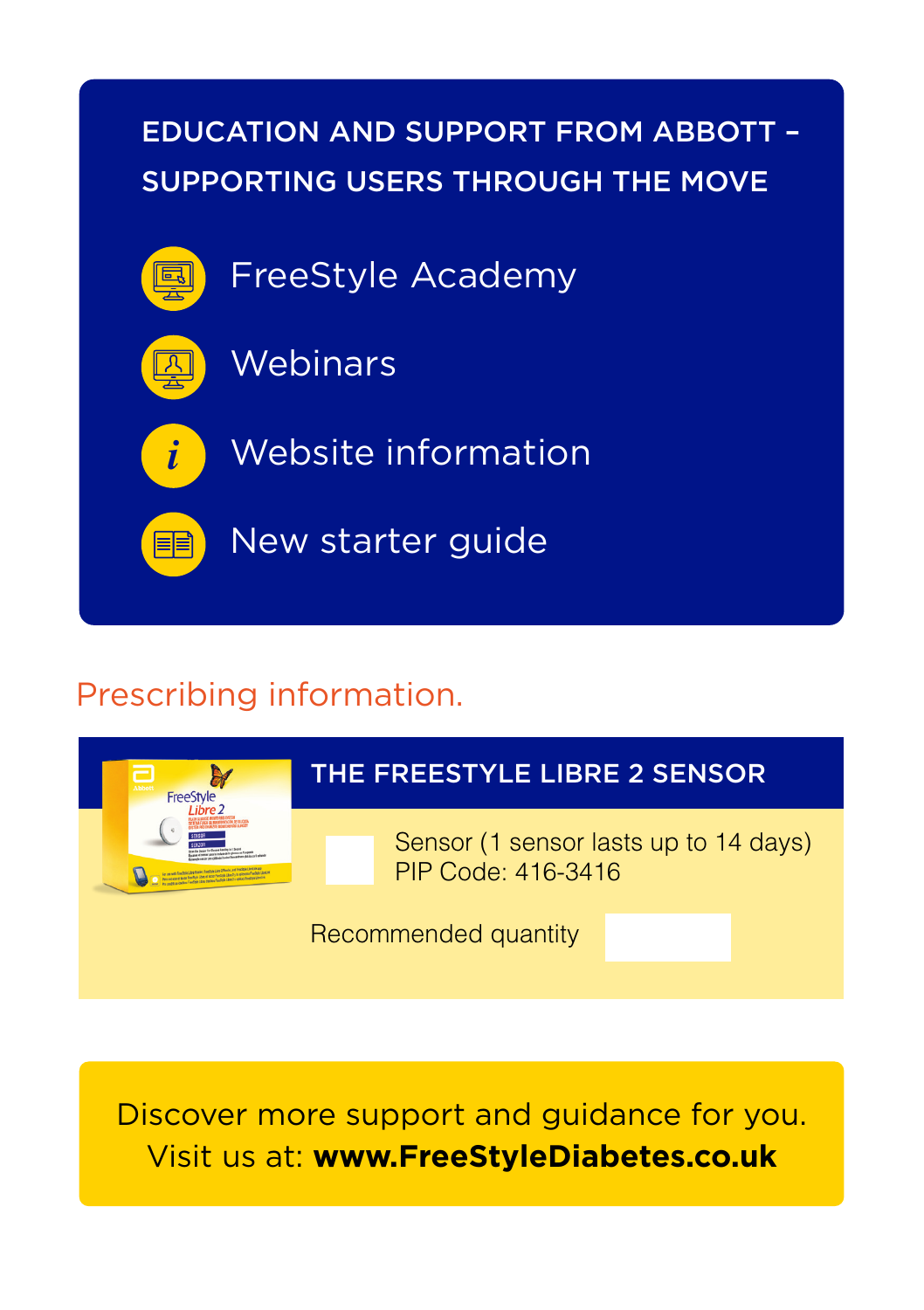

## Prescribing information.



Discover more support and guidance for you. Visit us at: **www.FreeStyleDiabetes.co.uk**